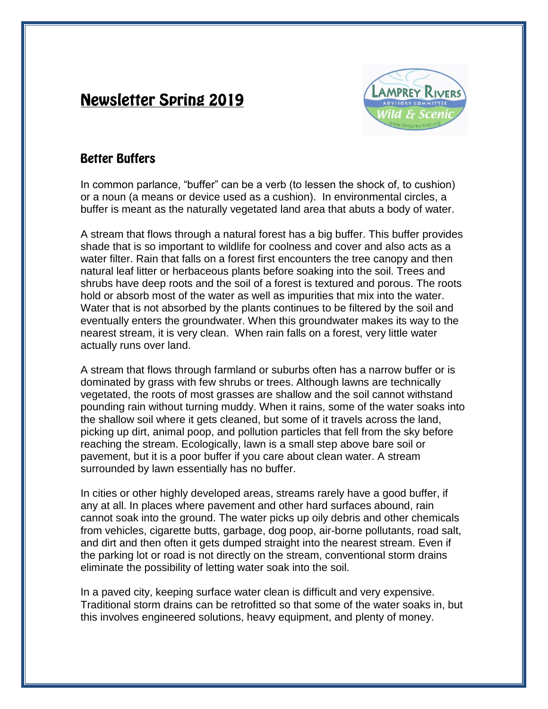# **Newsletter Spring 2019**



# **Better Buffers**

In common parlance, "buffer" can be a verb (to lessen the shock of, to cushion) or a noun (a means or device used as a cushion). In environmental circles, a buffer is meant as the naturally vegetated land area that abuts a body of water.

A stream that flows through a natural forest has a big buffer. This buffer provides shade that is so important to wildlife for coolness and cover and also acts as a water filter. Rain that falls on a forest first encounters the tree canopy and then natural leaf litter or herbaceous plants before soaking into the soil. Trees and shrubs have deep roots and the soil of a forest is textured and porous. The roots hold or absorb most of the water as well as impurities that mix into the water. Water that is not absorbed by the plants continues to be filtered by the soil and eventually enters the groundwater. When this groundwater makes its way to the nearest stream, it is very clean. When rain falls on a forest, very little water actually runs over land.

A stream that flows through farmland or suburbs often has a narrow buffer or is dominated by grass with few shrubs or trees. Although lawns are technically vegetated, the roots of most grasses are shallow and the soil cannot withstand pounding rain without turning muddy. When it rains, some of the water soaks into the shallow soil where it gets cleaned, but some of it travels across the land, picking up dirt, animal poop, and pollution particles that fell from the sky before reaching the stream. Ecologically, lawn is a small step above bare soil or pavement, but it is a poor buffer if you care about clean water. A stream surrounded by lawn essentially has no buffer.

In cities or other highly developed areas, streams rarely have a good buffer, if any at all. In places where pavement and other hard surfaces abound, rain cannot soak into the ground. The water picks up oily debris and other chemicals from vehicles, cigarette butts, garbage, dog poop, air-borne pollutants, road salt, and dirt and then often it gets dumped straight into the nearest stream. Even if the parking lot or road is not directly on the stream, conventional storm drains eliminate the possibility of letting water soak into the soil.

In a paved city, keeping surface water clean is difficult and very expensive. Traditional storm drains can be retrofitted so that some of the water soaks in, but this involves engineered solutions, heavy equipment, and plenty of money.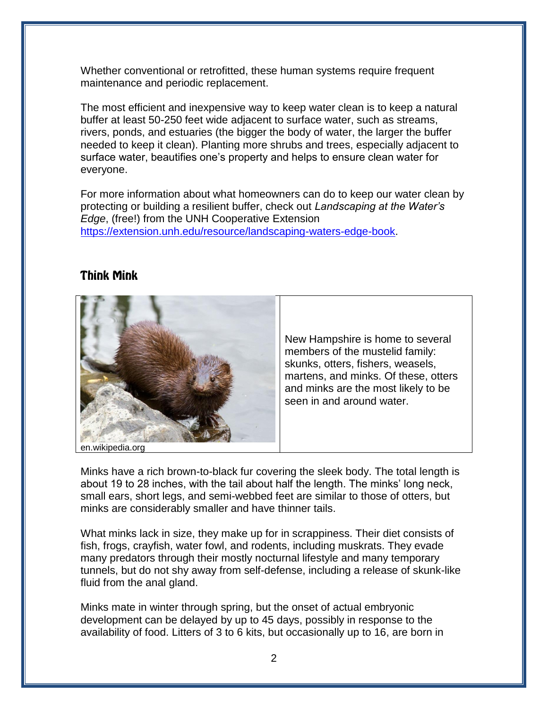Whether conventional or retrofitted, these human systems require frequent maintenance and periodic replacement.

The most efficient and inexpensive way to keep water clean is to keep a natural buffer at least 50-250 feet wide adjacent to surface water, such as streams, rivers, ponds, and estuaries (the bigger the body of water, the larger the buffer needed to keep it clean). Planting more shrubs and trees, especially adjacent to surface water, beautifies one's property and helps to ensure clean water for everyone.

For more information about what homeowners can do to keep our water clean by protecting or building a resilient buffer, check out *Landscaping at the Water's Edge*, (free!) from the UNH Cooperative Extension [https://extension.unh.edu/resource/landscaping-waters-edge-book.](https://extension.unh.edu/resource/landscaping-waters-edge-book)

#### **Think Mink**



New Hampshire is home to several members of the mustelid family: skunks, otters, fishers, weasels, martens, and minks. Of these, otters and minks are the most likely to be seen in and around water.

en.wikipedia.org

Minks have a rich brown-to-black fur covering the sleek body. The total length is about 19 to 28 inches, with the tail about half the length. The minks' long neck, small ears, short legs, and semi-webbed feet are similar to those of otters, but minks are considerably smaller and have thinner tails.

What minks lack in size, they make up for in scrappiness. Their diet consists of fish, frogs, crayfish, water fowl, and rodents, including muskrats. They evade many predators through their mostly nocturnal lifestyle and many temporary tunnels, but do not shy away from self-defense, including a release of skunk-like fluid from the anal gland.

Minks mate in winter through spring, but the onset of actual embryonic development can be delayed by up to 45 days, possibly in response to the availability of food. Litters of 3 to 6 kits, but occasionally up to 16, are born in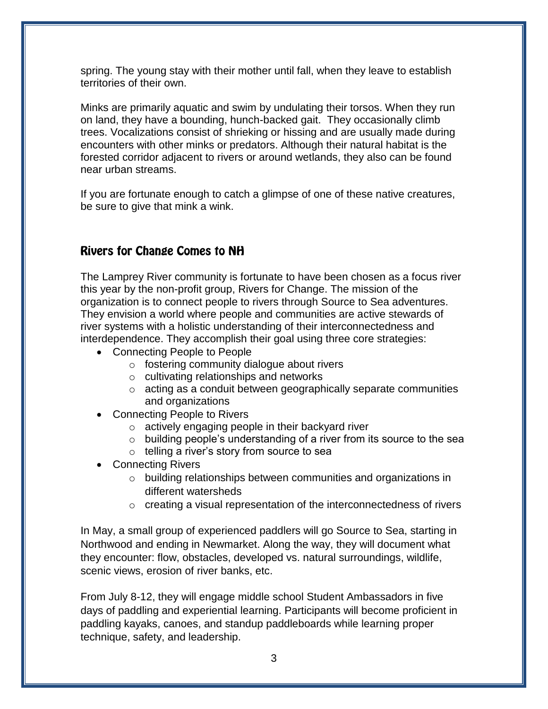spring. The young stay with their mother until fall, when they leave to establish territories of their own.

Minks are primarily aquatic and swim by undulating their torsos. When they run on land, they have a bounding, hunch-backed gait. They occasionally climb trees. Vocalizations consist of shrieking or hissing and are usually made during encounters with other minks or predators. Although their natural habitat is the forested corridor adjacent to rivers or around wetlands, they also can be found near urban streams.

If you are fortunate enough to catch a glimpse of one of these native creatures, be sure to give that mink a wink.

## **Rivers for Change Comes to NH**

The Lamprey River community is fortunate to have been chosen as a focus river this year by the non-profit group, Rivers for Change. The mission of the organization is to connect people to rivers through Source to Sea adventures. They envision a world where people and communities are active stewards of river systems with a holistic understanding of their interconnectedness and interdependence. They accomplish their goal using three core strategies:

- Connecting People to People
	- o fostering community dialogue about rivers
	- o cultivating relationships and networks
	- o acting as a conduit between geographically separate communities and organizations
- Connecting People to Rivers
	- o actively engaging people in their backyard river
	- $\circ$  building people's understanding of a river from its source to the sea
	- o telling a river's story from source to sea
- Connecting Rivers
	- o building relationships between communities and organizations in different watersheds
	- $\circ$  creating a visual representation of the interconnectedness of rivers

In May, a small group of experienced paddlers will go Source to Sea, starting in Northwood and ending in Newmarket. Along the way, they will document what they encounter: flow, obstacles, developed vs. natural surroundings, wildlife, scenic views, erosion of river banks, etc.

From July 8-12, they will engage middle school Student Ambassadors in five days of paddling and experiential learning. Participants will become proficient in paddling kayaks, canoes, and standup paddleboards while learning proper technique, safety, and leadership.